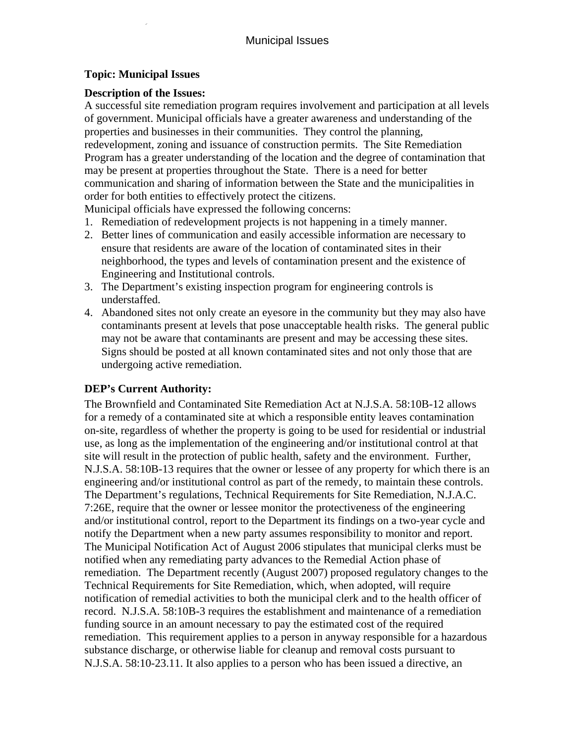## **Topic: Municipal Issues**

## **Description of the Issues:**

A successful site remediation program requires involvement and participation at all levels of government. Municipal officials have a greater awareness and understanding of the properties and businesses in their communities. They control the planning, redevelopment, zoning and issuance of construction permits. The Site Remediation Program has a greater understanding of the location and the degree of contamination that may be present at properties throughout the State. There is a need for better communication and sharing of information between the State and the municipalities in order for both entities to effectively protect the citizens.

Municipal officials have expressed the following concerns:

- 1. Remediation of redevelopment projects is not happening in a timely manner.
- 2. Better lines of communication and easily accessible information are necessary to ensure that residents are aware of the location of contaminated sites in their neighborhood, the types and levels of contamination present and the existence of Engineering and Institutional controls.
- 3. The Department's existing inspection program for engineering controls is understaffed.
- 4. Abandoned sites not only create an eyesore in the community but they may also have contaminants present at levels that pose unacceptable health risks. The general public may not be aware that contaminants are present and may be accessing these sites. Signs should be posted at all known contaminated sites and not only those that are undergoing active remediation.

# **DEP's Current Authority:**

The Brownfield and Contaminated Site Remediation Act at N.J.S.A. 58:10B-12 allows for a remedy of a contaminated site at which a responsible entity leaves contamination on-site, regardless of whether the property is going to be used for residential or industrial use, as long as the implementation of the engineering and/or institutional control at that site will result in the protection of public health, safety and the environment. Further, N.J.S.A. 58:10B-13 requires that the owner or lessee of any property for which there is an engineering and/or institutional control as part of the remedy, to maintain these controls. The Department's regulations, Technical Requirements for Site Remediation, N.J.A.C. 7:26E, require that the owner or lessee monitor the protectiveness of the engineering and/or institutional control, report to the Department its findings on a two-year cycle and notify the Department when a new party assumes responsibility to monitor and report. The Municipal Notification Act of August 2006 stipulates that municipal clerks must be notified when any remediating party advances to the Remedial Action phase of remediation. The Department recently (August 2007) proposed regulatory changes to the Technical Requirements for Site Remediation, which, when adopted, will require notification of remedial activities to both the municipal clerk and to the health officer of record. N.J.S.A. 58:10B-3 requires the establishment and maintenance of a remediation funding source in an amount necessary to pay the estimated cost of the required remediation. This requirement applies to a person in anyway responsible for a hazardous substance discharge, or otherwise liable for cleanup and removal costs pursuant to N.J.S.A. 58:10-23.11. It also applies to a person who has been issued a directive, an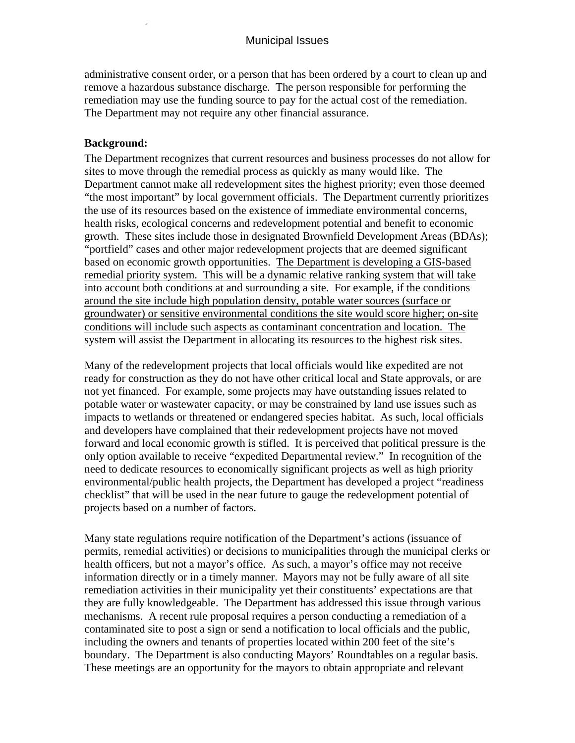administrative consent order, or a person that has been ordered by a court to clean up and remove a hazardous substance discharge. The person responsible for performing the remediation may use the funding source to pay for the actual cost of the remediation. The Department may not require any other financial assurance.

#### **Background:**

The Department recognizes that current resources and business processes do not allow for sites to move through the remedial process as quickly as many would like. The Department cannot make all redevelopment sites the highest priority; even those deemed "the most important" by local government officials. The Department currently prioritizes the use of its resources based on the existence of immediate environmental concerns, health risks, ecological concerns and redevelopment potential and benefit to economic growth. These sites include those in designated Brownfield Development Areas (BDAs); "portfield" cases and other major redevelopment projects that are deemed significant based on economic growth opportunities. The Department is developing a GIS-based remedial priority system. This will be a dynamic relative ranking system that will take into account both conditions at and surrounding a site. For example, if the conditions around the site include high population density, potable water sources (surface or groundwater) or sensitive environmental conditions the site would score higher; on-site conditions will include such aspects as contaminant concentration and location. The system will assist the Department in allocating its resources to the highest risk sites.

Many of the redevelopment projects that local officials would like expedited are not ready for construction as they do not have other critical local and State approvals, or are not yet financed. For example, some projects may have outstanding issues related to potable water or wastewater capacity, or may be constrained by land use issues such as impacts to wetlands or threatened or endangered species habitat. As such, local officials and developers have complained that their redevelopment projects have not moved forward and local economic growth is stifled. It is perceived that political pressure is the only option available to receive "expedited Departmental review." In recognition of the need to dedicate resources to economically significant projects as well as high priority environmental/public health projects, the Department has developed a project "readiness checklist" that will be used in the near future to gauge the redevelopment potential of projects based on a number of factors.

Many state regulations require notification of the Department's actions (issuance of permits, remedial activities) or decisions to municipalities through the municipal clerks or health officers, but not a mayor's office. As such, a mayor's office may not receive information directly or in a timely manner. Mayors may not be fully aware of all site remediation activities in their municipality yet their constituents' expectations are that they are fully knowledgeable. The Department has addressed this issue through various mechanisms. A recent rule proposal requires a person conducting a remediation of a contaminated site to post a sign or send a notification to local officials and the public, including the owners and tenants of properties located within 200 feet of the site's boundary. The Department is also conducting Mayors' Roundtables on a regular basis. These meetings are an opportunity for the mayors to obtain appropriate and relevant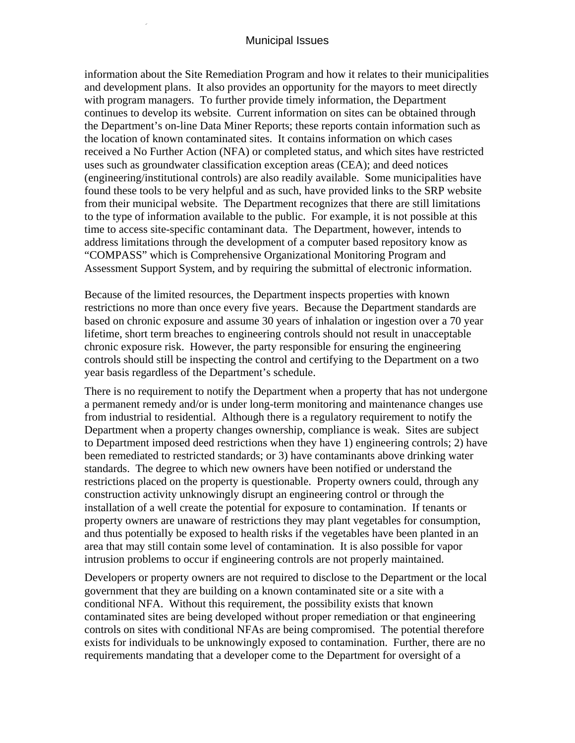information about the Site Remediation Program and how it relates to their municipalities and development plans. It also provides an opportunity for the mayors to meet directly with program managers. To further provide timely information, the Department continues to develop its website. Current information on sites can be obtained through the Department's on-line Data Miner Reports; these reports contain information such as the location of known contaminated sites. It contains information on which cases received a No Further Action (NFA) or completed status, and which sites have restricted uses such as groundwater classification exception areas (CEA); and deed notices (engineering/institutional controls) are also readily available. Some municipalities have found these tools to be very helpful and as such, have provided links to the SRP website from their municipal website. The Department recognizes that there are still limitations to the type of information available to the public. For example, it is not possible at this time to access site-specific contaminant data. The Department, however, intends to address limitations through the development of a computer based repository know as "COMPASS" which is Comprehensive Organizational Monitoring Program and Assessment Support System, and by requiring the submittal of electronic information.

Because of the limited resources, the Department inspects properties with known restrictions no more than once every five years. Because the Department standards are based on chronic exposure and assume 30 years of inhalation or ingestion over a 70 year lifetime, short term breaches to engineering controls should not result in unacceptable chronic exposure risk. However, the party responsible for ensuring the engineering controls should still be inspecting the control and certifying to the Department on a two year basis regardless of the Department's schedule.

There is no requirement to notify the Department when a property that has not undergone a permanent remedy and/or is under long-term monitoring and maintenance changes use from industrial to residential. Although there is a regulatory requirement to notify the Department when a property changes ownership, compliance is weak. Sites are subject to Department imposed deed restrictions when they have 1) engineering controls; 2) have been remediated to restricted standards; or 3) have contaminants above drinking water standards. The degree to which new owners have been notified or understand the restrictions placed on the property is questionable. Property owners could, through any construction activity unknowingly disrupt an engineering control or through the installation of a well create the potential for exposure to contamination. If tenants or property owners are unaware of restrictions they may plant vegetables for consumption, and thus potentially be exposed to health risks if the vegetables have been planted in an area that may still contain some level of contamination. It is also possible for vapor intrusion problems to occur if engineering controls are not properly maintained.

Developers or property owners are not required to disclose to the Department or the local government that they are building on a known contaminated site or a site with a conditional NFA. Without this requirement, the possibility exists that known contaminated sites are being developed without proper remediation or that engineering controls on sites with conditional NFAs are being compromised. The potential therefore exists for individuals to be unknowingly exposed to contamination. Further, there are no requirements mandating that a developer come to the Department for oversight of a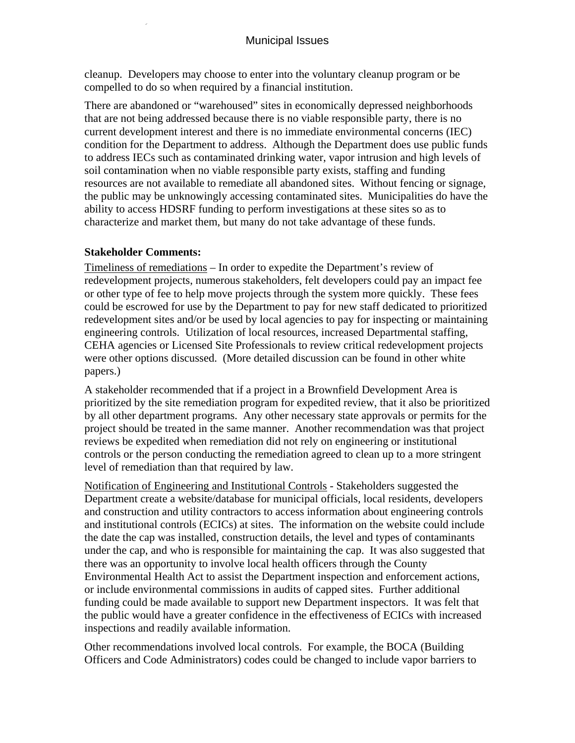cleanup. Developers may choose to enter into the voluntary cleanup program or be compelled to do so when required by a financial institution.

There are abandoned or "warehoused" sites in economically depressed neighborhoods that are not being addressed because there is no viable responsible party, there is no current development interest and there is no immediate environmental concerns (IEC) condition for the Department to address. Although the Department does use public funds to address IECs such as contaminated drinking water, vapor intrusion and high levels of soil contamination when no viable responsible party exists, staffing and funding resources are not available to remediate all abandoned sites. Without fencing or signage, the public may be unknowingly accessing contaminated sites. Municipalities do have the ability to access HDSRF funding to perform investigations at these sites so as to characterize and market them, but many do not take advantage of these funds.

#### **Stakeholder Comments:**

Timeliness of remediations – In order to expedite the Department's review of redevelopment projects, numerous stakeholders, felt developers could pay an impact fee or other type of fee to help move projects through the system more quickly. These fees could be escrowed for use by the Department to pay for new staff dedicated to prioritized redevelopment sites and/or be used by local agencies to pay for inspecting or maintaining engineering controls. Utilization of local resources, increased Departmental staffing, CEHA agencies or Licensed Site Professionals to review critical redevelopment projects were other options discussed. (More detailed discussion can be found in other white papers.)

A stakeholder recommended that if a project in a Brownfield Development Area is prioritized by the site remediation program for expedited review, that it also be prioritized by all other department programs. Any other necessary state approvals or permits for the project should be treated in the same manner. Another recommendation was that project reviews be expedited when remediation did not rely on engineering or institutional controls or the person conducting the remediation agreed to clean up to a more stringent level of remediation than that required by law.

Notification of Engineering and Institutional Controls - Stakeholders suggested the Department create a website/database for municipal officials, local residents, developers and construction and utility contractors to access information about engineering controls and institutional controls (ECICs) at sites. The information on the website could include the date the cap was installed, construction details, the level and types of contaminants under the cap, and who is responsible for maintaining the cap. It was also suggested that there was an opportunity to involve local health officers through the County Environmental Health Act to assist the Department inspection and enforcement actions, or include environmental commissions in audits of capped sites. Further additional funding could be made available to support new Department inspectors. It was felt that the public would have a greater confidence in the effectiveness of ECICs with increased inspections and readily available information.

Other recommendations involved local controls. For example, the BOCA (Building Officers and Code Administrators) codes could be changed to include vapor barriers to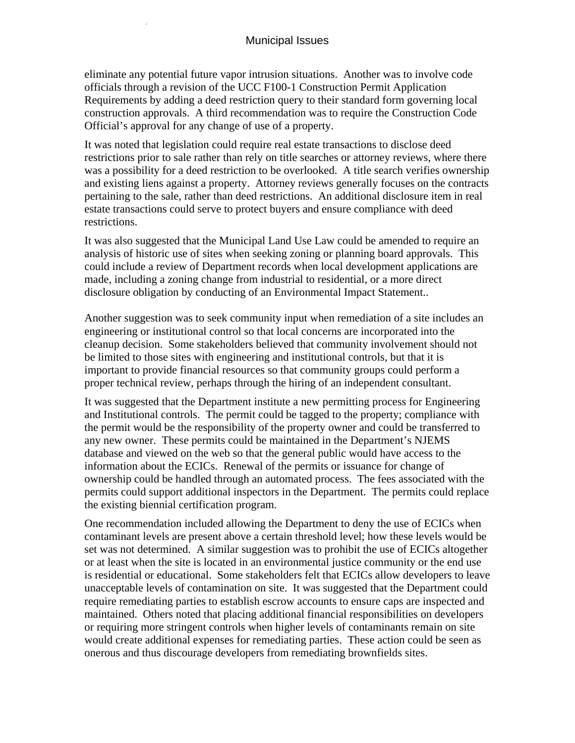eliminate any potential future vapor intrusion situations. Another was to involve code officials through a revision of the UCC F100-1 Construction Permit Application Requirements by adding a deed restriction query to their standard form governing local construction approvals. A third recommendation was to require the Construction Code Official's approval for any change of use of a property.

It was noted that legislation could require real estate transactions to disclose deed restrictions prior to sale rather than rely on title searches or attorney reviews, where there was a possibility for a deed restriction to be overlooked. A title search verifies ownership and existing liens against a property. Attorney reviews generally focuses on the contracts pertaining to the sale, rather than deed restrictions. An additional disclosure item in real estate transactions could serve to protect buyers and ensure compliance with deed restrictions.

It was also suggested that the Municipal Land Use Law could be amended to require an analysis of historic use of sites when seeking zoning or planning board approvals. This could include a review of Department records when local development applications are made, including a zoning change from industrial to residential, or a more direct disclosure obligation by conducting of an Environmental Impact Statement..

Another suggestion was to seek community input when remediation of a site includes an engineering or institutional control so that local concerns are incorporated into the cleanup decision. Some stakeholders believed that community involvement should not be limited to those sites with engineering and institutional controls, but that it is important to provide financial resources so that community groups could perform a proper technical review, perhaps through the hiring of an independent consultant.

It was suggested that the Department institute a new permitting process for Engineering and Institutional controls. The permit could be tagged to the property; compliance with the permit would be the responsibility of the property owner and could be transferred to any new owner. These permits could be maintained in the Department's NJEMS database and viewed on the web so that the general public would have access to the information about the ECICs. Renewal of the permits or issuance for change of ownership could be handled through an automated process. The fees associated with the permits could support additional inspectors in the Department. The permits could replace the existing biennial certification program.

One recommendation included allowing the Department to deny the use of ECICs when contaminant levels are present above a certain threshold level; how these levels would be set was not determined. A similar suggestion was to prohibit the use of ECICs altogether or at least when the site is located in an environmental justice community or the end use is residential or educational. Some stakeholders felt that ECICs allow developers to leave unacceptable levels of contamination on site. It was suggested that the Department could require remediating parties to establish escrow accounts to ensure caps are inspected and maintained. Others noted that placing additional financial responsibilities on developers or requiring more stringent controls when higher levels of contaminants remain on site would create additional expenses for remediating parties. These action could be seen as onerous and thus discourage developers from remediating brownfields sites.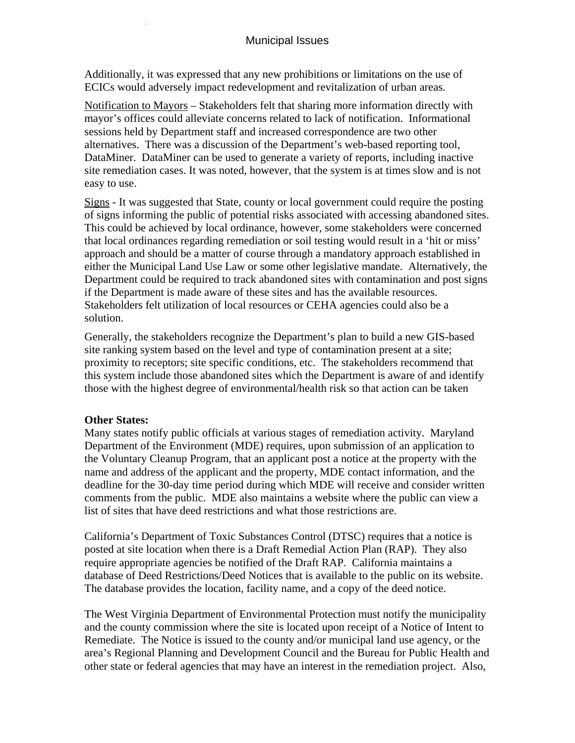Additionally, it was expressed that any new prohibitions or limitations on the use of ECICs would adversely impact redevelopment and revitalization of urban areas.

Notification to Mayors – Stakeholders felt that sharing more information directly with mayor's offices could alleviate concerns related to lack of notification. Informational sessions held by Department staff and increased correspondence are two other alternatives. There was a discussion of the Department's web-based reporting tool, DataMiner. DataMiner can be used to generate a variety of reports, including inactive site remediation cases. It was noted, however, that the system is at times slow and is not easy to use.

Signs - It was suggested that State, county or local government could require the posting of signs informing the public of potential risks associated with accessing abandoned sites. This could be achieved by local ordinance, however, some stakeholders were concerned that local ordinances regarding remediation or soil testing would result in a 'hit or miss' approach and should be a matter of course through a mandatory approach established in either the Municipal Land Use Law or some other legislative mandate. Alternatively, the Department could be required to track abandoned sites with contamination and post signs if the Department is made aware of these sites and has the available resources. Stakeholders felt utilization of local resources or CEHA agencies could also be a solution.

Generally, the stakeholders recognize the Department's plan to build a new GIS-based site ranking system based on the level and type of contamination present at a site; proximity to receptors; site specific conditions, etc. The stakeholders recommend that this system include those abandoned sites which the Department is aware of and identify those with the highest degree of environmental/health risk so that action can be taken

### **Other States:**

Many states notify public officials at various stages of remediation activity. Maryland Department of the Environment (MDE) requires, upon submission of an application to the Voluntary Cleanup Program, that an applicant post a notice at the property with the name and address of the applicant and the property, MDE contact information, and the deadline for the 30-day time period during which MDE will receive and consider written comments from the public. MDE also maintains a website where the public can view a list of sites that have deed restrictions and what those restrictions are.

California's Department of Toxic Substances Control (DTSC) requires that a notice is posted at site location when there is a Draft Remedial Action Plan (RAP). They also require appropriate agencies be notified of the Draft RAP. California maintains a database of Deed Restrictions/Deed Notices that is available to the public on its website. The database provides the location, facility name, and a copy of the deed notice.

The West Virginia Department of Environmental Protection must notify the municipality and the county commission where the site is located upon receipt of a Notice of Intent to Remediate. The Notice is issued to the county and/or municipal land use agency, or the area's Regional Planning and Development Council and the Bureau for Public Health and other state or federal agencies that may have an interest in the remediation project. Also,